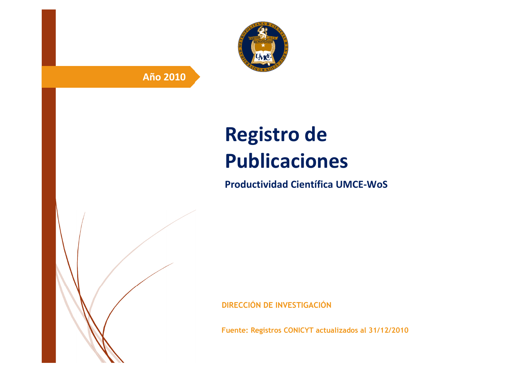

# **Año 2010**

# **Registro de Publicaciones**

**Productividad Científica UMCE-WoS** 

**DIRECCIÓN DE INVESTIGACIÓN**

**Fuente: Registros CONICYT actualizados al 31/12/2010**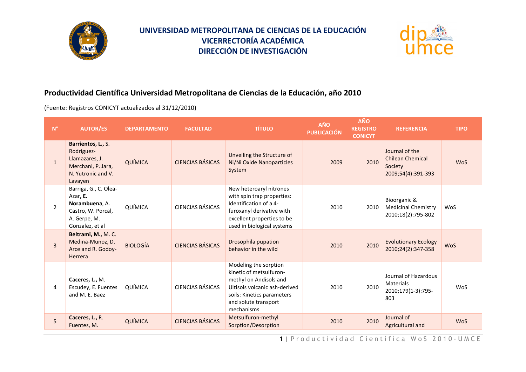



#### **Productividad Científica Universidad Metropolitana de Ciencias de la Educación, año 2010**

(Fuente: Registros CONICYT actualizados al 31/12/2010)

| $\mathsf{N}^\circ$ | <b>AUTOR/ES</b>                                                                                              | <b>DEPARTAMENTO</b> | <b>FACULTAD</b>         | <b>TÍTULO</b>                                                                                                                                                                   | <b>AÑO</b><br><b>PUBLICACIÓN</b> | <b>AÑO</b><br><b>REGISTRO</b><br><b>CONICYT</b> | <b>REFERENCIA</b>                                                          | <b>TIPO</b> |
|--------------------|--------------------------------------------------------------------------------------------------------------|---------------------|-------------------------|---------------------------------------------------------------------------------------------------------------------------------------------------------------------------------|----------------------------------|-------------------------------------------------|----------------------------------------------------------------------------|-------------|
| $\mathbf{1}$       | Barrientos, L., S.<br>Rodriguez-<br>Llamazares, J.<br>Merchani, P. Jara,<br>N. Yutronic and V.<br>Lavayen    | QUÍMICA             | CIENCIAS BÁSICAS        | Unveiling the Structure of<br>Ni/Ni Oxide Nanoparticles<br>System                                                                                                               | 2009                             | 2010                                            | Journal of the<br><b>Chilean Chemical</b><br>Society<br>2009;54(4):391-393 | <b>WoS</b>  |
| $\overline{2}$     | Barriga, G., C. Olea-<br>Azar, E.<br>Norambuena, A.<br>Castro, W. Porcal,<br>A. Gerpe, M.<br>Gonzalez, et al | QUÍMICA             | CIENCIAS BÁSICAS        | New heteroaryl nitrones<br>with spin trap properties:<br>Identification of a 4-<br>furoxanyl derivative with<br>excellent properties to be<br>used in biological systems        | 2010                             | 2010                                            | Bioorganic &<br><b>Medicinal Chemistry</b><br>2010;18(2):795-802           | WoS         |
| 3                  | Beltrami, M., M.C.<br>Medina-Munoz, D.<br>Arce and R. Godoy-<br>Herrera                                      | <b>BIOLOGÍA</b>     | CIENCIAS BÁSICAS        | Drosophila pupation<br>behavior in the wild                                                                                                                                     | 2010                             | 2010                                            | <b>Evolutionary Ecology</b><br>2010;24(2):347-358                          | <b>WoS</b>  |
| 4                  | Caceres, L., M.<br>Escudey, E. Fuentes<br>and M. E. Baez                                                     | QUÍMICA             | <b>CIENCIAS BÁSICAS</b> | Modeling the sorption<br>kinetic of metsulfuron-<br>methyl on Andisols and<br>Ultisols volcanic ash-derived<br>soils: Kinetics parameters<br>and solute transport<br>mechanisms | 2010                             | 2010                                            | Journal of Hazardous<br><b>Materials</b><br>2010;179(1-3):795-<br>803      | WoS         |
| 5                  | Caceres, L., R.<br>Fuentes, M.                                                                               | QUÍMICA             | <b>CIENCIAS BÁSICAS</b> | Metsulfuron-methyl<br>Sorption/Desorption                                                                                                                                       | 2010                             | 2010                                            | Journal of<br>Agricultural and                                             | <b>WoS</b>  |

1 | Productividad Científica WoS 2010 - UMCE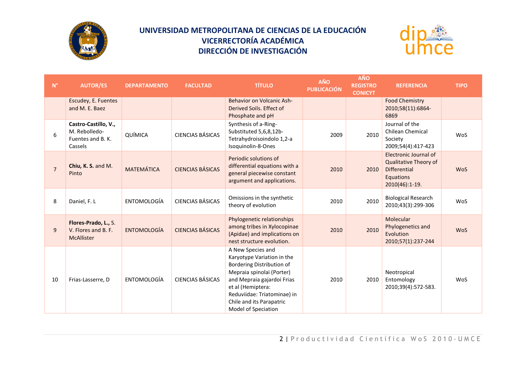



| $\mathsf{N}^\circ$ | <b>AUTOR/ES</b>                                                       | <b>DEPARTAMENTO</b> | <b>FACULTAD</b>         | <b>TÍTULO</b>                                                                                                                                                                                                                                  | AÑO<br><b>PUBLICACIÓN</b> | <b>AÑO</b><br><b>REGISTRO</b><br><b>CONICYT</b> | <b>REFERENCIA</b>                                                                                    | <b>TIPO</b> |
|--------------------|-----------------------------------------------------------------------|---------------------|-------------------------|------------------------------------------------------------------------------------------------------------------------------------------------------------------------------------------------------------------------------------------------|---------------------------|-------------------------------------------------|------------------------------------------------------------------------------------------------------|-------------|
|                    | Escudey, E. Fuentes<br>and M. E. Baez                                 |                     |                         | Behavior on Volcanic Ash-<br>Derived Soils. Effect of<br>Phosphate and pH                                                                                                                                                                      |                           |                                                 | <b>Food Chemistry</b><br>2010;58(11):6864-<br>6869                                                   |             |
| 6                  | Castro-Castillo, V.,<br>M. Rebolledo-<br>Fuentes and B. K.<br>Cassels | QUÍMICA             | <b>CIENCIAS BÁSICAS</b> | Synthesis of a-Ring-<br>Substituted 5,6,8,12b-<br>Tetrahydroisoindolo 1,2-a<br>Isoquinolin-8-Ones                                                                                                                                              | 2009                      | 2010                                            | Journal of the<br><b>Chilean Chemical</b><br>Society<br>2009;54(4):417-423                           | WoS         |
| $\overline{7}$     | Chiu, K. S. and M.<br>Pinto                                           | <b>MATEMÁTICA</b>   | <b>CIENCIAS BÁSICAS</b> | Periodic solutions of<br>differential equations with a<br>general piecewise constant<br>argument and applications.                                                                                                                             | 2010                      | 2010                                            | Electronic Journal of<br>Qualitative Theory of<br><b>Differential</b><br>Equations<br>2010(46):1-19. | <b>WoS</b>  |
| 8                  | Daniel, F. L                                                          | ENTOMOLOGÍA         | <b>CIENCIAS BÁSICAS</b> | Omissions in the synthetic<br>theory of evolution                                                                                                                                                                                              | 2010                      | 2010                                            | <b>Biological Research</b><br>2010;43(3):299-306                                                     | WoS         |
| 9                  | Flores-Prado, L., S.<br>V. Flores and B. F.<br>McAllister             | <b>ENTOMOLOGÍA</b>  | <b>CIENCIAS BÁSICAS</b> | Phylogenetic relationships<br>among tribes in Xylocopinae<br>(Apidae) and implications on<br>nest structure evolution.                                                                                                                         | 2010                      | 2010                                            | Molecular<br>Phylogenetics and<br>Evolution<br>2010;57(1):237-244                                    | <b>WoS</b>  |
| 10                 | Frias-Lasserre, D                                                     | ENTOMOLOGÍA         | CIENCIAS BÁSICAS        | A New Species and<br>Karyotype Variation in the<br>Bordering Distribution of<br>Mepraia spinolai (Porter)<br>and Mepraia gajardoi Frias<br>et al (Hemiptera:<br>Reduviidae: Triatominae) in<br>Chile and its Parapatric<br>Model of Speciation | 2010                      | 2010                                            | Neotropical<br>Entomology<br>2010;39(4):572-583.                                                     | WoS         |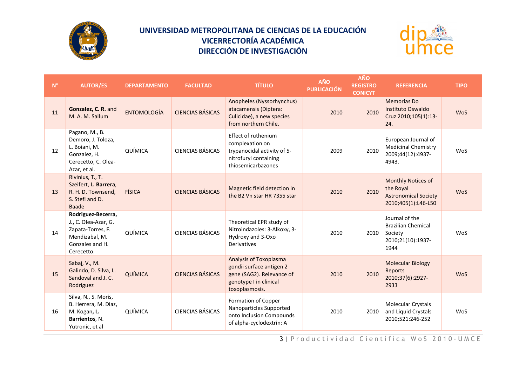



| $\mathsf{N}^\circ$ | <b>AUTOR/ES</b>                                                                                                    | <b>DEPARTAMENTO</b> | <b>FACULTAD</b>         | <b>TÍTULO</b>                                                                                                                      | AÑO<br><b>PUBLICACIÓN</b> | <b>AÑO</b><br><b>REGISTRO</b><br><b>CONICYT</b> | <b>REFERENCIA</b>                                                                     | <b>TIPO</b> |
|--------------------|--------------------------------------------------------------------------------------------------------------------|---------------------|-------------------------|------------------------------------------------------------------------------------------------------------------------------------|---------------------------|-------------------------------------------------|---------------------------------------------------------------------------------------|-------------|
| 11                 | Gonzalez, C. R. and<br>M. A. M. Sallum                                                                             | <b>ENTOMOLOGÍA</b>  | <b>CIENCIAS BÁSICAS</b> | Anopheles (Nyssorhynchus)<br>atacamensis (Diptera:<br>Culicidae), a new species<br>from northern Chile.                            | 2010                      | 2010                                            | <b>Memorias Do</b><br>Instituto Oswaldo<br>Cruz 2010;105(1):13-<br>24.                | <b>WoS</b>  |
| 12                 | Pagano, M., B.<br>Demoro, J. Toloza,<br>L. Boiani, M.<br>Gonzalez, H.<br>Cerecetto, C. Olea-<br>Azar, et al.       | QUÍMICA             | <b>CIENCIAS BÁSICAS</b> | Effect of ruthenium<br>complexation on<br>trypanocidal activity of 5-<br>nitrofuryl containing<br>thiosemicarbazones               | 2009                      | 2010                                            | European Journal of<br><b>Medicinal Chemistry</b><br>2009;44(12):4937-<br>4943.       | WoS         |
| 13                 | Rivinius, T., T.<br>Szeifert, L. Barrera,<br>R. H. D. Townsend,<br>S. Stefl and D.<br><b>Baade</b>                 | FÍSICA              | <b>CIENCIAS BÁSICAS</b> | Magnetic field detection in<br>the B2 Vn star HR 7355 star                                                                         | 2010                      | 2010                                            | Monthly Notices of<br>the Royal<br><b>Astronomical Society</b><br>2010;405(1):L46-L50 | <b>WoS</b>  |
| 14                 | Rodriguez-Becerra,<br>J., C. Olea-Azar, G.<br>Zapata-Torres, F.<br>Mendizabal, M.<br>Gonzales and H.<br>Cerecetto. | QUÍMICA             | <b>CIENCIAS BÁSICAS</b> | Theoretical EPR study of<br>Nitroindazoles: 3-Alkoxy, 3-<br>Hydroxy and 3-Oxo<br>Derivatives                                       | 2010                      | 2010                                            | Journal of the<br><b>Brazilian Chemical</b><br>Society<br>2010;21(10):1937-<br>1944   | WoS         |
| 15                 | Sabaj, V., M.<br>Galindo, D. Silva, L.<br>Sandoval and J. C.<br>Rodriguez                                          | QUÍMICA             | <b>CIENCIAS BÁSICAS</b> | <b>Analysis of Toxoplasma</b><br>gondii surface antigen 2<br>gene (SAG2). Relevance of<br>genotype I in clinical<br>toxoplasmosis. | 2010                      | 2010                                            | <b>Molecular Biology</b><br>Reports<br>2010;37(6):2927-<br>2933                       | <b>WoS</b>  |
| 16                 | Silva, N., S. Moris,<br>B. Herrera, M. Diaz,<br>M. Kogan, L.<br>Barrientos, N.<br>Yutronic, et al                  | QUÍMICA             | <b>CIENCIAS BÁSICAS</b> | Formation of Copper<br>Nanoparticles Supported<br>onto Inclusion Compounds<br>of alpha-cyclodextrin: A                             | 2010                      | 2010                                            | <b>Molecular Crystals</b><br>and Liquid Crystals<br>2010;521:246-252                  | WoS         |

3 | Productividad Científica WoS 2010-UMCE